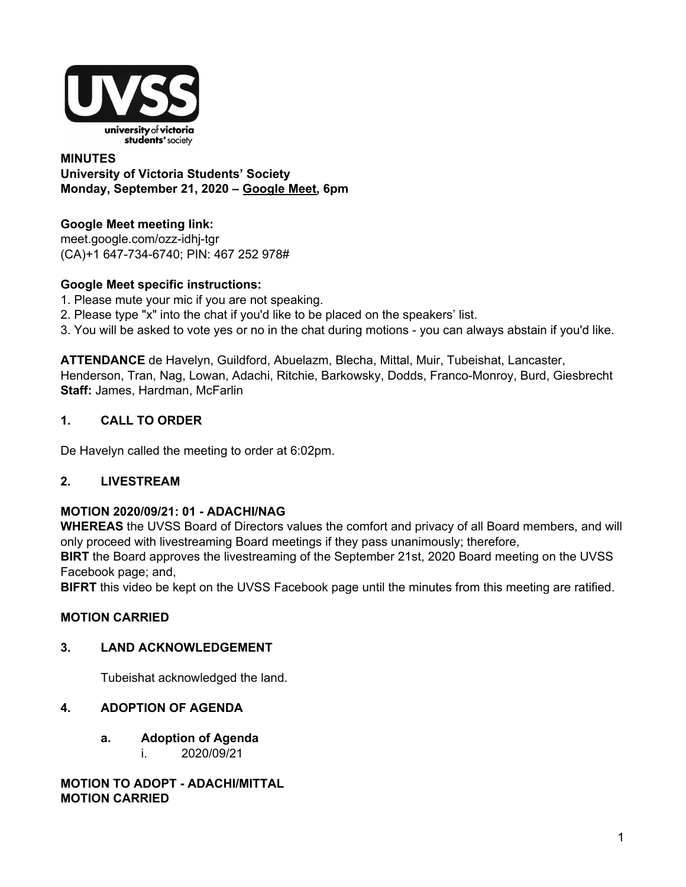

### **MINUTES University of Victoria Students' Society Monday, September 21, 2020 – [Google](http://meet.google.com/ozz-idhj-tgr) Meet, 6pm**

# **Google Meet meeting link[:](https://us02web.zoom.us/j/84726203931?pwd=bGNKTElKZEFIWkNvRlY2TFBqb3dQUT09)**

[meet.google.com/ozz-idhj-tgr](https://meet.google.com/ozz-idhj-tgr?hs=122&authuser=2) (CA)+1 647-734-6740; PIN: 467 252 978#

# **Google Meet specific instructions:**

- 1. Please mute your mic if you are not speaking.
- 2. Please type "x" into the chat if you'd like to be placed on the speakers' list.
- 3. You will be asked to vote yes or no in the chat during motions you can always abstain if you'd like.

**ATTENDANCE** de Havelyn, Guildford, Abuelazm, Blecha, Mittal, Muir, Tubeishat, Lancaster, Henderson, Tran, Nag, Lowan, Adachi, Ritchie, Barkowsky, Dodds, Franco-Monroy, Burd, Giesbrecht **Staff:** James, Hardman, McFarlin

# **1. CALL TO ORDER**

De Havelyn called the meeting to order at 6:02pm.

## **2. LIVESTREAM**

## **MOTION 2020/09/21: 01 - ADACHI/NAG**

**WHEREAS** the UVSS Board of Directors values the comfort and privacy of all Board members, and will only proceed with livestreaming Board meetings if they pass unanimously; therefore,

**BIRT** the Board approves the livestreaming of the September 21st, 2020 Board meeting on the UVSS Facebook page; and,

**BIFRT** this video be kept on the UVSS Facebook page until the minutes from this meeting are ratified.

# **MOTION CARRIED**

## **3. LAND ACKNOWLEDGEMENT**

Tubeishat acknowledged the land.

## **4. ADOPTION OF AGENDA**

- **a. Adoption of Agenda**
	- i. 2020/09/21

**MOTION TO ADOPT - ADACHI/MITTAL MOTION CARRIED**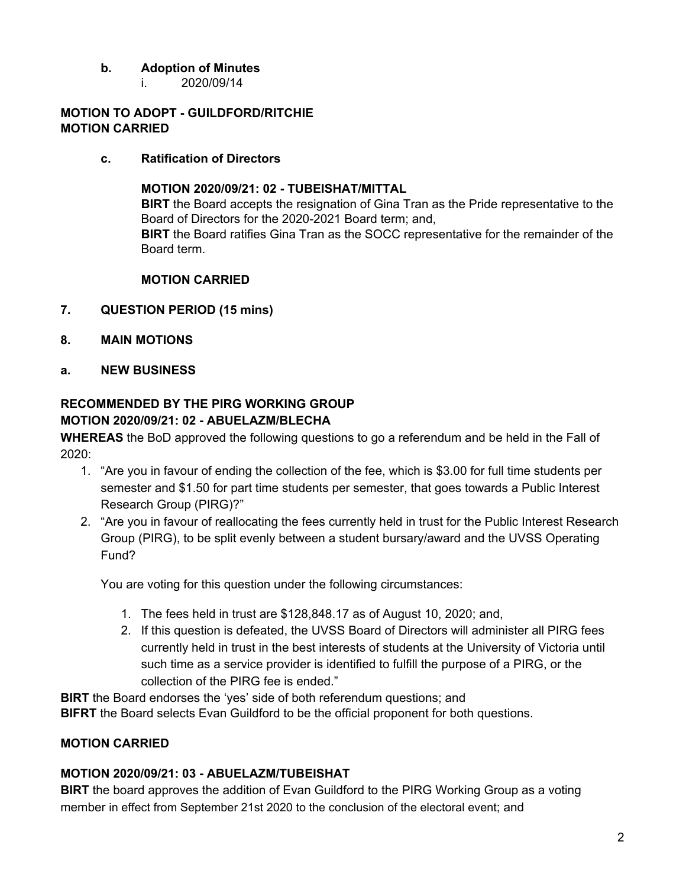# **b. Adoption of Minutes**

i. 2020/09/14

#### **MOTION TO ADOPT - GUILDFORD/RITCHIE MOTION CARRIED**

### **c. Ratification of Directors**

**MOTION 2020/09/21: 02 - TUBEISHAT/MITTAL BIRT** the Board accepts the resignation of Gina Tran as the Pride representative to the Board of Directors for the 2020-2021 Board term; and, **BIRT** the Board ratifies Gina Tran as the SOCC representative for the remainder of the Board term.

### **MOTION CARRIED**

- **7. QUESTION PERIOD (15 mins)**
- **8. MAIN MOTIONS**
- **a. NEW BUSINESS**

## **RECOMMENDED BY THE PIRG WORKING GROUP MOTION 2020/09/21: 02 - ABUELAZM/BLECHA**

**WHEREAS** the BoD approved the following questions to go a referendum and be held in the Fall of 2020:

- 1. "Are you in favour of ending the collection of the fee, which is \$3.00 for full time students per semester and \$1.50 for part time students per semester, that goes towards a Public Interest Research Group (PIRG)?"
- 2. "Are you in favour of reallocating the fees currently held in trust for the Public Interest Research Group (PIRG), to be split evenly between a student bursary/award and the UVSS Operating Fund?

You are voting for this question under the following circumstances:

- 1. The fees held in trust are \$128,848.17 as of August 10, 2020; and,
- 2. If this question is defeated, the UVSS Board of Directors will administer all PIRG fees currently held in trust in the best interests of students at the University of Victoria until such time as a service provider is identified to fulfill the purpose of a PIRG, or the collection of the PIRG fee is ended."

**BIRT** the Board endorses the 'yes' side of both referendum questions; and **BIFRT** the Board selects Evan Guildford to be the official proponent for both questions.

## **MOTION CARRIED**

## **MOTION 2020/09/21: 03 - ABUELAZM/TUBEISHAT**

**BIRT** the board approves the addition of Evan Guildford to the PIRG Working Group as a voting member in effect from September 21st 2020 to the conclusion of the electoral event; and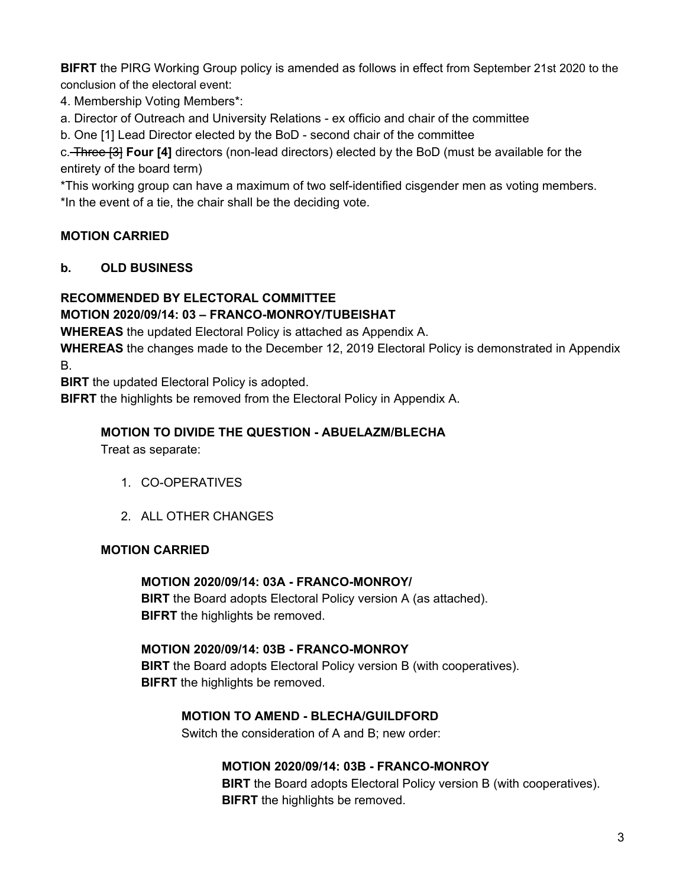**BIFRT** the PIRG Working Group policy is amended as follows in effect from September 21st 2020 to the conclusion of the electoral event:

4. Membership Voting Members\*:

a. Director of Outreach and University Relations - ex officio and chair of the committee

b. One [1] Lead Director elected by the BoD - second chair of the committee

c. Three [3] **Four [4]** directors (non-lead directors) elected by the BoD (must be available for the entirety of the board term)

\*This working group can have a maximum of two self-identified cisgender men as voting members. \*In the event of a tie, the chair shall be the deciding vote.

# **MOTION CARRIED**

# **b. OLD BUSINESS**

# **RECOMMENDED BY ELECTORAL COMMITTEE**

# **MOTION 2020/09/14: 03 – FRANCO-MONROY/TUBEISHAT**

**WHEREAS** the updated Electoral Policy is attached as Appendix A.

**WHEREAS** the changes made to the December 12, 2019 Electoral Policy is demonstrated in Appendix B.

**BIRT** the updated Electoral Policy is adopted.

**BIFRT** the highlights be removed from the Electoral Policy in Appendix A.

### **MOTION TO DIVIDE THE QUESTION - ABUELAZM/BLECHA**

Treat as separate:

- 1. CO-OPERATIVES
- 2. ALL OTHER CHANGES

## **MOTION CARRIED**

# **MOTION 2020/09/14: 03A - FRANCO-MONROY/**

**BIRT** the Board adopts Electoral Policy version A (as attached). **BIFRT** the highlights be removed.

# **MOTION 2020/09/14: 03B - FRANCO-MONROY**

**BIRT** the Board adopts Electoral Policy version B (with cooperatives). **BIFRT** the highlights be removed.

## **MOTION TO AMEND - BLECHA/GUILDFORD**

Switch the consideration of A and B; new order:

## **MOTION 2020/09/14: 03B - FRANCO-MONROY**

**BIRT** the Board adopts Electoral Policy version B (with cooperatives). **BIFRT** the highlights be removed.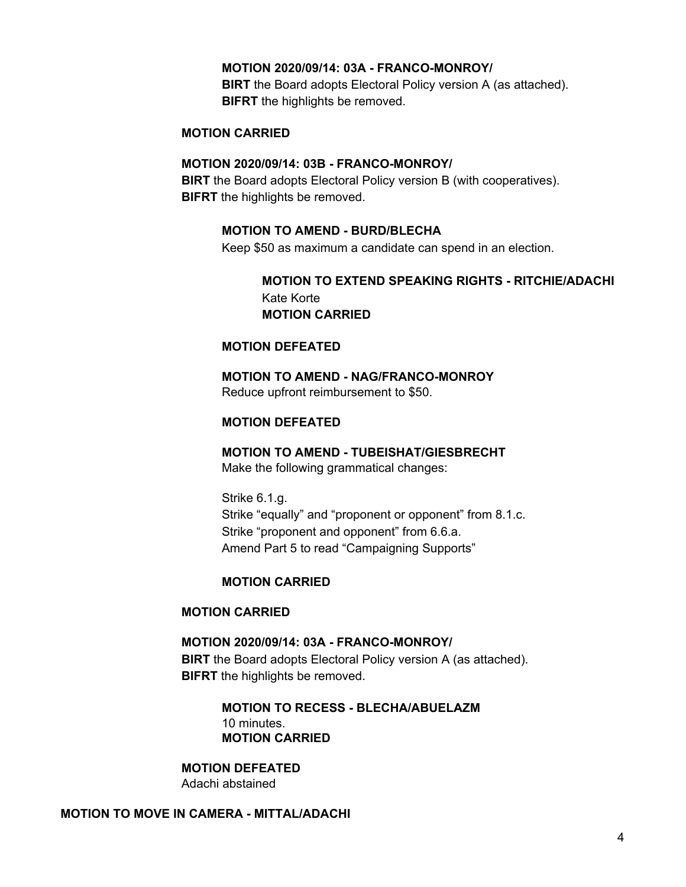#### **MOTION 2020/09/14: 03A - FRANCO-MONROY/**

**BIRT** the Board adopts Electoral Policy version A (as attached). **BIFRT** the highlights be removed.

#### **MOTION CARRIED**

#### **MOTION 2020/09/14: 03B - FRANCO-MONROY/**

**BIRT** the Board adopts Electoral Policy version B (with cooperatives). **BIFRT** the highlights be removed.

#### **MOTION TO AMEND - BURD/BLECHA**

Keep \$50 as maximum a candidate can spend in an election.

### **MOTION TO EXTEND SPEAKING RIGHTS - RITCHIE/ADACHI** Kate Korte **MOTION CARRIED**

#### **MOTION DEFEATED**

**MOTION TO AMEND - NAG/FRANCO-MONROY** Reduce upfront reimbursement to \$50.

#### **MOTION DEFEATED**

# **MOTION TO AMEND - TUBEISHAT/GIESBRECHT**

Make the following grammatical changes:

Strike 6.1.g. Strike "equally" and "proponent or opponent" from 8.1.c. Strike "proponent and opponent" from 6.6.a. Amend Part 5 to read "Campaigning Supports"

#### **MOTION CARRIED**

#### **MOTION CARRIED**

**MOTION 2020/09/14: 03A - FRANCO-MONROY/ BIRT** the Board adopts Electoral Policy version A (as attached). **BIFRT** the highlights be removed.

> **MOTION TO RECESS - BLECHA/ABUELAZM** 10 minutes. **MOTION CARRIED**

**MOTION DEFEATED** Adachi abstained

#### **MOTION TO MOVE IN CAMERA - MITTAL/ADACHI**